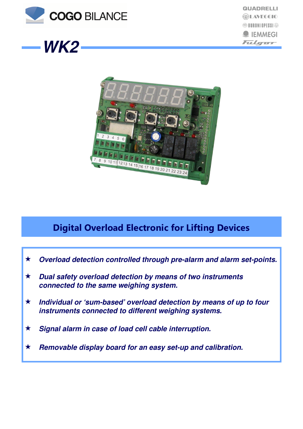





# Digital Overload Electronic for Lifting Devices

- **Overload detection controlled through pre-alarm and alarm set-points.**
- **Dual safety overload detection by means of two instruments connected to the same weighing system.**
- **Individual or 'sum-based' overload detection by means of up to four instruments connected to different weighing systems.**
- **Signal alarm in case of load cell cable interruption.**
- **Removable display board for an easy set-up and calibration.**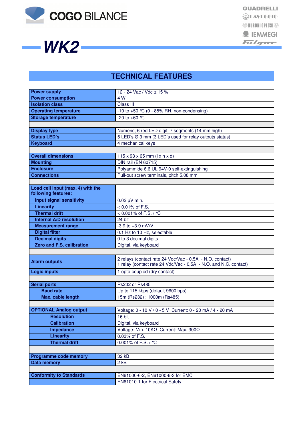

**WK2**

## **TECHNICAL FEATURES**

| <b>Power supply</b>               | 12 - 24 Vac / Vdc ± 15 %                                            |  |
|-----------------------------------|---------------------------------------------------------------------|--|
| <b>Power consumption</b>          | 4 W                                                                 |  |
| <b>Isolation class</b>            | Class III                                                           |  |
| <b>Operating temperature</b>      | -10 to +50 $°C$ (0 - 85% RH, non-condensing)                        |  |
| <b>Storage temperature</b>        | -20 to +60 $^{\circ}$ C                                             |  |
|                                   |                                                                     |  |
| <b>Display type</b>               | Numeric, 6 red LED digit, 7 segments (14 mm high)                   |  |
| <b>Status LED's</b>               | 5 LED's Ø 3 mm (3 LED's used for relay outputs status)              |  |
| <b>Keyboard</b>                   | 4 mechanical keys                                                   |  |
|                                   |                                                                     |  |
| <b>Overall dimensions</b>         | $115 \times 93 \times 65$ mm ( $1 \times h \times d$ )              |  |
| <b>Mounting</b>                   | <b>DIN rail (EN 60715)</b>                                          |  |
| <b>Enclosure</b>                  | Polyammide 6.6 UL 94V-0 self-extinguishing                          |  |
| <b>Connections</b>                | Pull-out screw terminals, pitch 5.08 mm                             |  |
|                                   |                                                                     |  |
| Load cell input (max. 4) with the |                                                                     |  |
| following features:               |                                                                     |  |
| <b>Input signal sensitivity</b>   | $0.02 \mu V$ min.                                                   |  |
| <b>Linearity</b>                  | $< 0.01\%$ of F.S.                                                  |  |
| <b>Thermal drift</b>              | < 0.001% of F.S. / °C                                               |  |
| <b>Internal A/D resolution</b>    | 24 bit                                                              |  |
| <b>Measurement range</b>          | $-3.9$ to $+3.9$ mV/V                                               |  |
| <b>Digital filter</b>             | 0.1 Hz to 10 Hz, selectable                                         |  |
| <b>Decimal digits</b>             | 0 to 3 decimal digits                                               |  |
| Zero and F.S. calibration         | Digital, via keyboard                                               |  |
|                                   |                                                                     |  |
|                                   | 2 relays (contact rate 24 Vdc/Vac - 0,5A - N.O. contact)            |  |
| <b>Alarm outputs</b>              | 1 relay (contact rate 24 Vdc/Vac - 0,5A - N.O. and N.C. contact)    |  |
| <b>Logic inputs</b>               | 1 opto-coupled (dry contact)                                        |  |
|                                   |                                                                     |  |
| <b>Serial ports</b>               | Rs232 or Rs485                                                      |  |
| <b>Baud rate</b>                  | Up to 115 kbps (default 9600 bps)                                   |  |
| Max. cable length                 | 15m (Rs232); 1000m (Rs485)                                          |  |
|                                   |                                                                     |  |
| <b>OPTIONAL Analog output</b>     | Voltage: 0 - 10 V / 0 - 5 V Current: 0 - 20 mA / 4 - 20 mA          |  |
| Resolution                        | $16 \text{ bit}$                                                    |  |
| <b>Calibration</b>                | Digital, via keyboard                                               |  |
| Impedance                         | Voltage: Min. 10ΚΩ Current: Max. 300Ω                               |  |
| <b>Linearity</b>                  | 0.03% of F.S.                                                       |  |
| <b>Thermal drift</b>              | 0.001% of F.S. / ℃                                                  |  |
|                                   |                                                                     |  |
| <b>Programme code memory</b>      | 32 kB                                                               |  |
| Data memory                       | 2 <sub>kB</sub>                                                     |  |
|                                   |                                                                     |  |
|                                   |                                                                     |  |
|                                   |                                                                     |  |
| <b>Conformity to Standards</b>    | EN61000-6-2, EN61000-6-3 for EMC<br>EN61010-1 for Electrical Safety |  |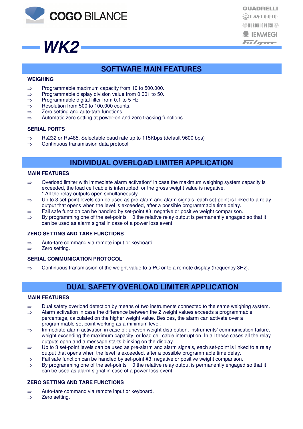



**QUADRELLI EDILAVEGGIO <sup><sup><sup>1</sup>**</sup> BURONI OPESSI</sup><sup>®</sup>  $\bullet$  IEMMEGI Fulger

### **SOFTWARE MAIN FEATURES**

### **WEIGHING**

- ⇒ Programmable maximum capacity from 10 to 500.000.
- ⇒ Programmable display division value from 0.001 to 50.
- ⇒ Programmable digital filter from 0.1 to 5 Hz
- ⇒ Resolution from 500 to 100.000 counts.
- ⇒ Zero setting and auto-tare functions.
- ⇒ Automatic zero setting at power-on and zero tracking functions.

### **SERIAL PORTS**

- ⇒ Rs232 or Rs485. Selectable baud rate up to 115Kbps (default 9600 bps)
- ⇒ Continuous transmission data protocol

### **INDIVIDUAL OVERLOAD LIMITER APPLICATION**

#### **MAIN FEATURES**

- $\Rightarrow$  Overload limiter with immediate alarm activation\* in case the maximum weighing system capacity is exceeded, the load cell cable is interrupted, or the gross weight value is negative.
- \* All the relay outputs open simultaneously.
- ⇒ Up to 3 set-point levels can be used as pre-alarm and alarm signals, each set-point is linked to a relay output that opens when the level is exceeded, after a possible programmable time delay.
- ⇒ Fail safe function can be handled by set-point #3; negative or positive weight comparison.
- $\Rightarrow$  By programming one of the set-points = 0 the relative relay output is permanently engaged so that it can be used as alarm signal in case of a power loss event.

### **ZERO SETTING AND TARE FUNCTIONS**

- ⇒ Auto-tare command via remote input or keyboard.
- ⇒ Zero setting.

### **SERIAL COMMUNICATION PROTOCOL**

 $\Rightarrow$  Continuous transmission of the weight value to a PC or to a remote display (frequency 3Hz).

### **DUAL SAFETY OVERLOAD LIMITER APPLICATION**

#### **MAIN FEATURES**

- $\Rightarrow$  Dual safety overload detection by means of two instruments connected to the same weighing system.
- ⇒ Alarm activation in case the difference between the 2 weight values exceeds a programmable percentage, calculated on the higher weight value. Besides, the alarm can activate over a programmable set-point working as a minimum level.
- ⇒ Immediate alarm activation in case of: uneven weight distribution, instruments' communication failure, weight exceeding the maximum capacity, or load cell cable interruption. In all these cases all the relay outputs open and a message starts blinking on the display.
- ⇒ Up to 3 set-point levels can be used as pre-alarm and alarm signals, each set-point is linked to a relay output that opens when the level is exceeded, after a possible programmable time delay.
- ⇒ Fail safe function can be handled by set-point #3; negative or positive weight comparison.
- $\Rightarrow$  By programming one of the set-points = 0 the relative relay output is permanently engaged so that it can be used as alarm signal in case of a power loss event.

### **ZERO SETTING AND TARE FUNCTIONS**

- ⇒ Auto-tare command via remote input or keyboard.
- ⇒ Zero setting.